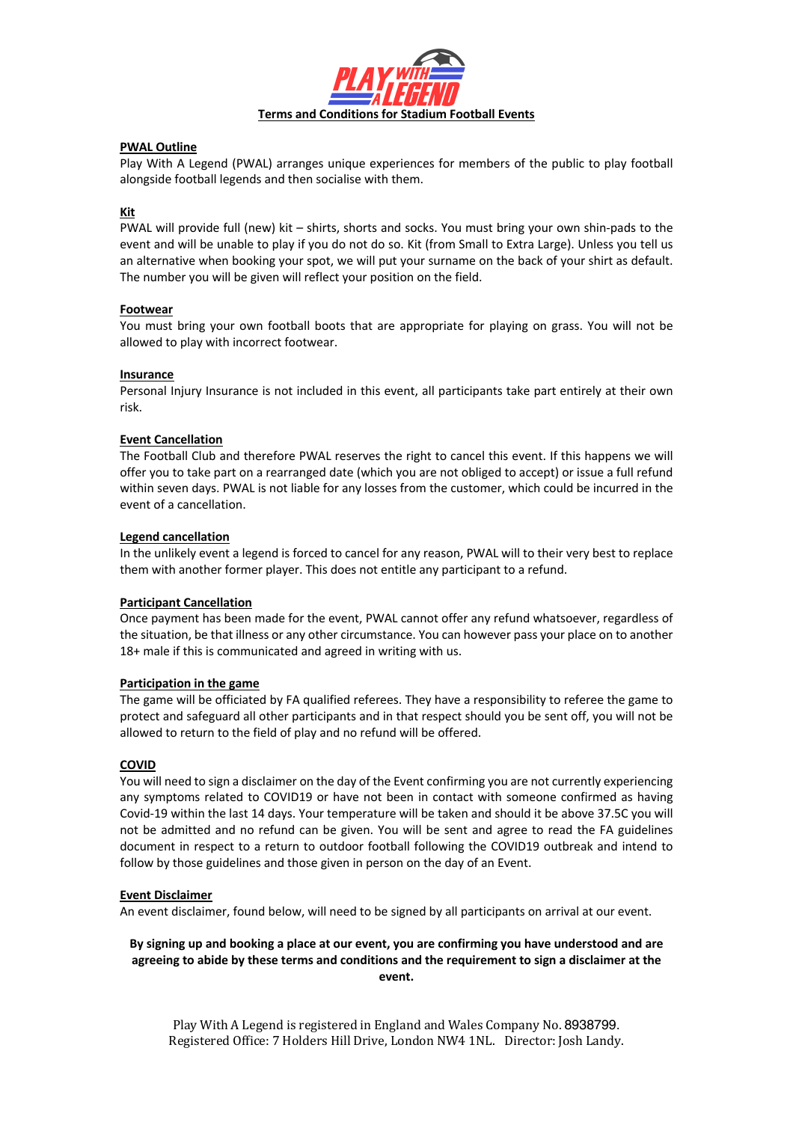

### **PWAL Outline**

Play With A Legend (PWAL) arranges unique experiences for members of the public to play football alongside football legends and then socialise with them.

# **Kit**

PWAL will provide full (new) kit – shirts, shorts and socks. You must bring your own shin-pads to the event and will be unable to play if you do not do so. Kit (from Small to Extra Large). Unless you tell us an alternative when booking your spot, we will put your surname on the back of your shirt as default. The number you will be given will reflect your position on the field.

#### **Footwear**

You must bring your own football boots that are appropriate for playing on grass. You will not be allowed to play with incorrect footwear.

## **Insurance**

Personal Injury Insurance is not included in this event, all participants take part entirely at their own risk.

## **Event Cancellation**

The Football Club and therefore PWAL reserves the right to cancel this event. If this happens we will offer you to take part on a rearranged date (which you are not obliged to accept) or issue a full refund within seven days. PWAL is not liable for any losses from the customer, which could be incurred in the event of a cancellation.

#### **Legend cancellation**

In the unlikely event a legend is forced to cancel for any reason, PWAL will to their very best to replace them with another former player. This does not entitle any participant to a refund.

#### **Participant Cancellation**

Once payment has been made for the event, PWAL cannot offer any refund whatsoever, regardless of the situation, be that illness or any other circumstance. You can however pass your place on to another 18+ male if this is communicated and agreed in writing with us.

#### **Participation in the game**

The game will be officiated by FA qualified referees. They have a responsibility to referee the game to protect and safeguard all other participants and in that respect should you be sent off, you will not be allowed to return to the field of play and no refund will be offered.

#### **COVID**

You will need to sign a disclaimer on the day of the Event confirming you are not currently experiencing any symptoms related to COVID19 or have not been in contact with someone confirmed as having Covid-19 within the last 14 days. Your temperature will be taken and should it be above 37.5C you will not be admitted and no refund can be given. You will be sent and agree to read the FA guidelines document in respect to a return to outdoor football following the COVID19 outbreak and intend to follow by those guidelines and those given in person on the day of an Event.

#### **Event Disclaimer**

An event disclaimer, found below, will need to be signed by all participants on arrival at our event.

#### **By signing up and booking a place at our event, you are confirming you have understood and are agreeing to abide by these terms and conditions and the requirement to sign a disclaimer at the event.**

Play With A Legend is registered in England and Wales Company No. 8938799. Registered Office: 7 Holders Hill Drive, London NW4 1NL. Director: Josh Landy.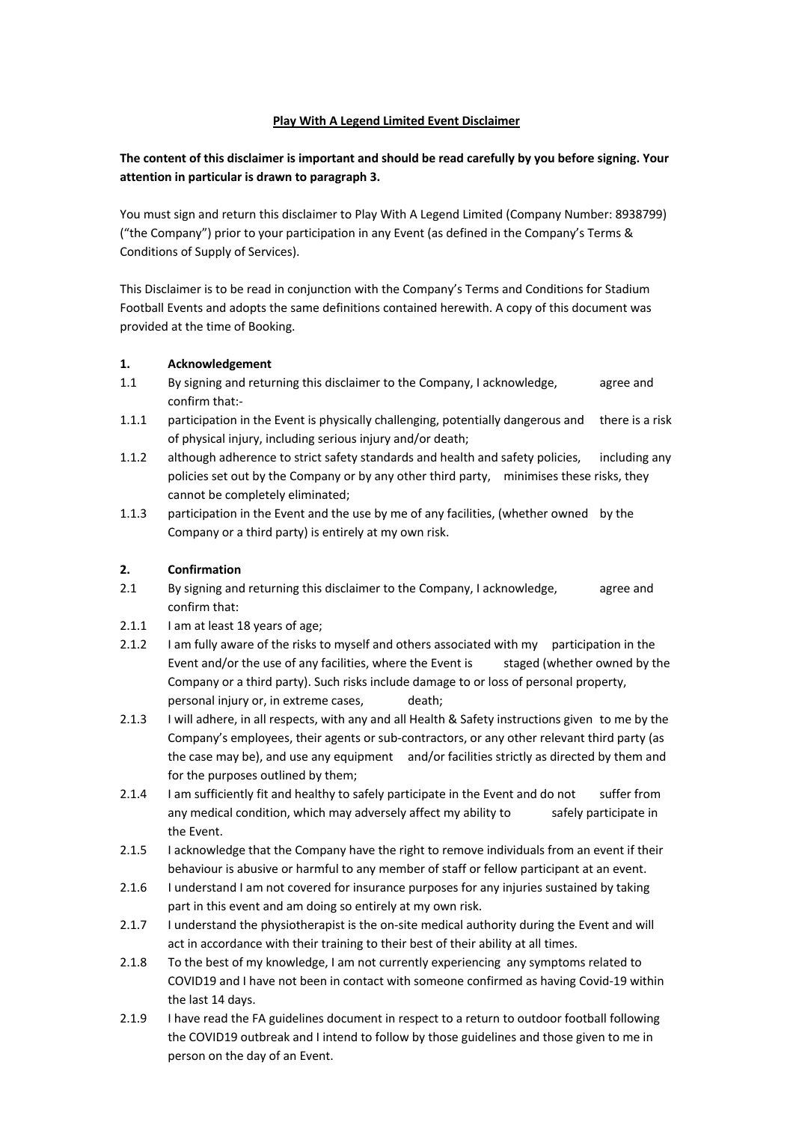# **Play With A Legend Limited Event Disclaimer**

# **The content of this disclaimer is important and should be read carefully by you before signing. Your attention in particular is drawn to paragraph 3.**

You must sign and return this disclaimer to Play With A Legend Limited (Company Number: 8938799) ("the Company") prior to your participation in any Event (as defined in the Company's Terms & Conditions of Supply of Services).

This Disclaimer is to be read in conjunction with the Company's Terms and Conditions for Stadium Football Events and adopts the same definitions contained herewith. A copy of this document was provided at the time of Booking.

### **1. Acknowledgement**

- 1.1 By signing and returning this disclaimer to the Company, I acknowledge, agree and confirm that:-
- 1.1.1 participation in the Event is physically challenging, potentially dangerous and there is a risk of physical injury, including serious injury and/or death;
- 1.1.2 although adherence to strict safety standards and health and safety policies, including any policies set out by the Company or by any other third party, minimises these risks, they cannot be completely eliminated;
- 1.1.3 participation in the Event and the use by me of any facilities, (whether owned by the Company or a third party) is entirely at my own risk.

# **2. Confirmation**

- 2.1 By signing and returning this disclaimer to the Company, I acknowledge, agree and confirm that:
- 2.1.1 I am at least 18 years of age;
- 2.1.2 I am fully aware of the risks to myself and others associated with my participation in the Event and/or the use of any facilities, where the Event is staged (whether owned by the Company or a third party). Such risks include damage to or loss of personal property, personal injury or, in extreme cases, death;
- 2.1.3 I will adhere, in all respects, with any and all Health & Safety instructions given to me by the Company's employees, their agents or sub-contractors, or any other relevant third party (as the case may be), and use any equipment and/or facilities strictly as directed by them and for the purposes outlined by them;
- 2.1.4 I am sufficiently fit and healthy to safely participate in the Event and do not suffer from any medical condition, which may adversely affect my ability to safely participate in the Event.
- 2.1.5 I acknowledge that the Company have the right to remove individuals from an event if their behaviour is abusive or harmful to any member of staff or fellow participant at an event.
- 2.1.6 I understand I am not covered for insurance purposes for any injuries sustained by taking part in this event and am doing so entirely at my own risk.
- 2.1.7 I understand the physiotherapist is the on-site medical authority during the Event and will act in accordance with their training to their best of their ability at all times.
- 2.1.8 To the best of my knowledge, I am not currently experiencing any symptoms related to COVID19 and I have not been in contact with someone confirmed as having Covid-19 within the last 14 days.
- 2.1.9 I have read the FA guidelines document in respect to a return to outdoor football following the COVID19 outbreak and I intend to follow by those guidelines and those given to me in person on the day of an Event.